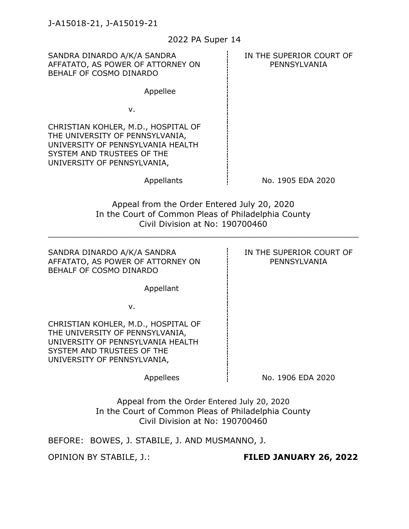| 2022 PA Super 14                                                                                                                                                         |                                          |
|--------------------------------------------------------------------------------------------------------------------------------------------------------------------------|------------------------------------------|
| SANDRA DINARDO A/K/A SANDRA<br>AFFATATO, AS POWER OF ATTORNEY ON<br>BEHALF OF COSMO DINARDO                                                                              | IN THE SUPERIOR COURT OF<br>PENNSYLVANIA |
| Appellee                                                                                                                                                                 |                                          |
| ν.                                                                                                                                                                       |                                          |
| CHRISTIAN KOHLER, M.D., HOSPITAL OF<br>THE UNIVERSITY OF PENNSYLVANIA,<br>UNIVERSITY OF PENNSYLVANIA HEALTH<br>SYSTEM AND TRUSTEES OF THE<br>UNIVERSITY OF PENNSYLVANIA, |                                          |
| Appellants                                                                                                                                                               | No. 1905 EDA 2020                        |
| Appeal from the Order Entered July 20, 2020<br>In the Court of Common Pleas of Philadelphia County<br>Civil Division at No: 190700460                                    |                                          |
| SANDRA DINARDO A/K/A SANDRA<br>AFFATATO, AS POWER OF ATTORNEY ON<br>BEHALF OF COSMO DINARDO                                                                              | IN THE SUPERIOR COURT OF<br>PENNSYLVANIA |
| Appellant                                                                                                                                                                |                                          |
| v.                                                                                                                                                                       |                                          |
| CHRISTIAN KOHLER, M.D., HOSPITAL OF<br>THE UNIVERSITY OF PENNSYLVANIA,<br>UNIVERSITY OF PENNSYLVANIA HEALTH<br>SYSTEM AND TRUSTEES OF THE<br>UNIVERSITY OF PENNSYLVANIA, |                                          |
| Appellees                                                                                                                                                                | No. 1906 EDA 2020                        |
| Appeal from the Order Entered July 20, 2020<br>In the Court of Common Pleas of Philadelphia County<br>Civil Division at No: 190700460                                    |                                          |
| BEFORE: BOWES, J. STABILE, J. AND MUSMANNO, J.                                                                                                                           |                                          |
| <b>OPINION BY STABILE, J.:</b>                                                                                                                                           | FILED JANUARY 26, 2022                   |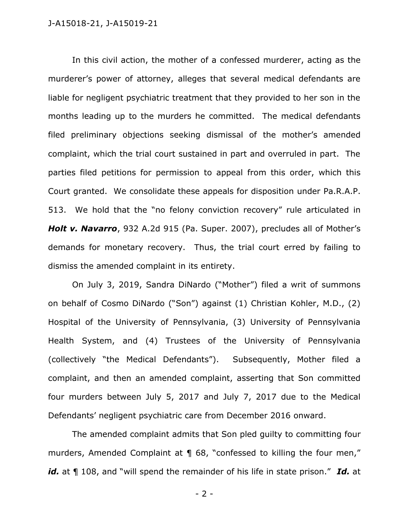In this civil action, the mother of a confessed murderer, acting as the murderer's power of attorney, alleges that several medical defendants are liable for negligent psychiatric treatment that they provided to her son in the months leading up to the murders he committed. The medical defendants filed preliminary objections seeking dismissal of the mother's amended complaint, which the trial court sustained in part and overruled in part. The parties filed petitions for permission to appeal from this order, which this Court granted. We consolidate these appeals for disposition under Pa.R.A.P. 513. We hold that the "no felony conviction recovery" rule articulated in *Holt v. Navarro*, 932 A.2d 915 (Pa. Super. 2007), precludes all of Mother's demands for monetary recovery. Thus, the trial court erred by failing to dismiss the amended complaint in its entirety.

On July 3, 2019, Sandra DiNardo ("Mother") filed a writ of summons on behalf of Cosmo DiNardo ("Son") against (1) Christian Kohler, M.D., (2) Hospital of the University of Pennsylvania, (3) University of Pennsylvania Health System, and (4) Trustees of the University of Pennsylvania (collectively "the Medical Defendants"). Subsequently, Mother filed a complaint, and then an amended complaint, asserting that Son committed four murders between July 5, 2017 and July 7, 2017 due to the Medical Defendants' negligent psychiatric care from December 2016 onward.

The amended complaint admits that Son pled guilty to committing four murders, Amended Complaint at ¶ 68, "confessed to killing the four men," *id.* at ¶ 108, and "will spend the remainder of his life in state prison." *Id.* at

- 2 -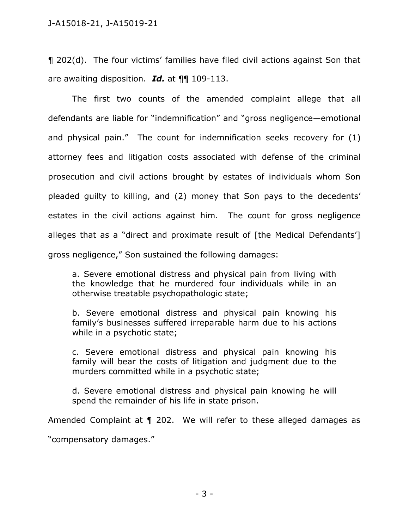¶ 202(d). The four victims' families have filed civil actions against Son that are awaiting disposition. *Id.* at ¶¶ 109-113.

The first two counts of the amended complaint allege that all defendants are liable for "indemnification" and "gross negligence—emotional and physical pain." The count for indemnification seeks recovery for (1) attorney fees and litigation costs associated with defense of the criminal prosecution and civil actions brought by estates of individuals whom Son pleaded guilty to killing, and (2) money that Son pays to the decedents' estates in the civil actions against him. The count for gross negligence alleges that as a "direct and proximate result of [the Medical Defendants'] gross negligence," Son sustained the following damages:

a. Severe emotional distress and physical pain from living with the knowledge that he murdered four individuals while in an otherwise treatable psychopathologic state;

b. Severe emotional distress and physical pain knowing his family's businesses suffered irreparable harm due to his actions while in a psychotic state;

c. Severe emotional distress and physical pain knowing his family will bear the costs of litigation and judgment due to the murders committed while in a psychotic state;

d. Severe emotional distress and physical pain knowing he will spend the remainder of his life in state prison.

Amended Complaint at ¶ 202. We will refer to these alleged damages as

"compensatory damages."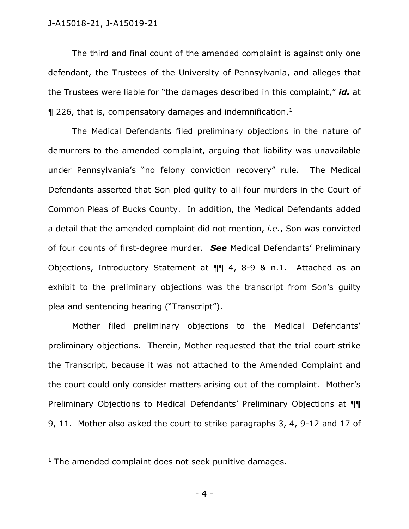The third and final count of the amended complaint is against only one defendant, the Trustees of the University of Pennsylvania, and alleges that the Trustees were liable for "the damages described in this complaint," *id.* at  $\P$  226, that is, compensatory damages and indemnification.<sup>1</sup>

The Medical Defendants filed preliminary objections in the nature of demurrers to the amended complaint, arguing that liability was unavailable under Pennsylvania's "no felony conviction recovery" rule. The Medical Defendants asserted that Son pled guilty to all four murders in the Court of Common Pleas of Bucks County. In addition, the Medical Defendants added a detail that the amended complaint did not mention, *i.e.*, Son was convicted of four counts of first-degree murder. *See* Medical Defendants' Preliminary Objections, Introductory Statement at ¶¶ 4, 8-9 & n.1. Attached as an exhibit to the preliminary objections was the transcript from Son's guilty plea and sentencing hearing ("Transcript").

Mother filed preliminary objections to the Medical Defendants' preliminary objections. Therein, Mother requested that the trial court strike the Transcript, because it was not attached to the Amended Complaint and the court could only consider matters arising out of the complaint. Mother's Preliminary Objections to Medical Defendants' Preliminary Objections at ¶¶ 9, 11. Mother also asked the court to strike paragraphs 3, 4, 9-12 and 17 of

 $1$  The amended complaint does not seek punitive damages.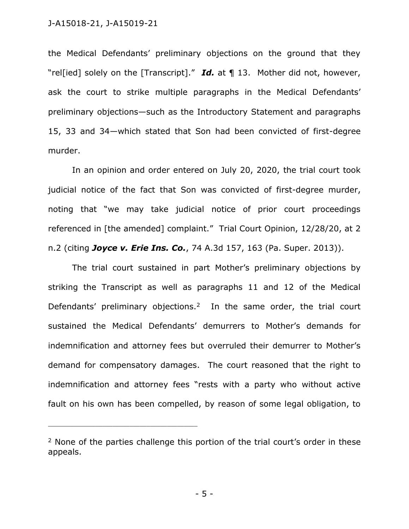the Medical Defendants' preliminary objections on the ground that they "rel[ied] solely on the [Transcript]." *Id.* at ¶ 13. Mother did not, however, ask the court to strike multiple paragraphs in the Medical Defendants' preliminary objections—such as the Introductory Statement and paragraphs 15, 33 and 34—which stated that Son had been convicted of first-degree murder.

In an opinion and order entered on July 20, 2020, the trial court took judicial notice of the fact that Son was convicted of first-degree murder, noting that "we may take judicial notice of prior court proceedings referenced in [the amended] complaint." Trial Court Opinion, 12/28/20, at 2 n.2 (citing *Joyce v. Erie Ins. Co.*, 74 A.3d 157, 163 (Pa. Super. 2013)).

The trial court sustained in part Mother's preliminary objections by striking the Transcript as well as paragraphs 11 and 12 of the Medical Defendants' preliminary objections.<sup>2</sup> In the same order, the trial court sustained the Medical Defendants' demurrers to Mother's demands for indemnification and attorney fees but overruled their demurrer to Mother's demand for compensatory damages. The court reasoned that the right to indemnification and attorney fees "rests with a party who without active fault on his own has been compelled, by reason of some legal obligation, to

<sup>&</sup>lt;sup>2</sup> None of the parties challenge this portion of the trial court's order in these appeals.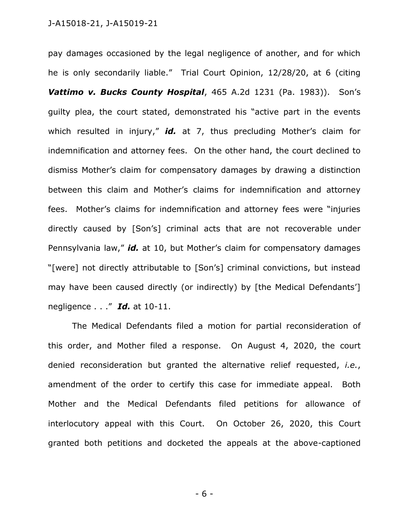pay damages occasioned by the legal negligence of another, and for which he is only secondarily liable." Trial Court Opinion, 12/28/20, at 6 (citing *Vattimo v. Bucks County Hospital*, 465 A.2d 1231 (Pa. 1983)). Son's guilty plea, the court stated, demonstrated his "active part in the events which resulted in injury," *id.* at 7, thus precluding Mother's claim for indemnification and attorney fees. On the other hand, the court declined to dismiss Mother's claim for compensatory damages by drawing a distinction between this claim and Mother's claims for indemnification and attorney fees. Mother's claims for indemnification and attorney fees were "injuries directly caused by [Son's] criminal acts that are not recoverable under Pennsylvania law," *id.* at 10, but Mother's claim for compensatory damages "[were] not directly attributable to [Son's] criminal convictions, but instead may have been caused directly (or indirectly) by [the Medical Defendants'] negligence . . ." *Id.* at 10-11.

The Medical Defendants filed a motion for partial reconsideration of this order, and Mother filed a response. On August 4, 2020, the court denied reconsideration but granted the alternative relief requested, *i.e.*, amendment of the order to certify this case for immediate appeal. Both Mother and the Medical Defendants filed petitions for allowance of interlocutory appeal with this Court. On October 26, 2020, this Court granted both petitions and docketed the appeals at the above-captioned

- 6 -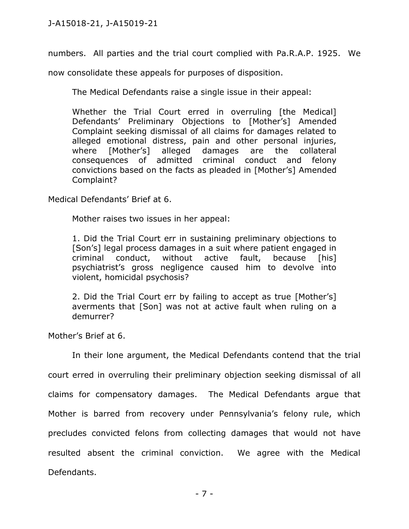numbers. All parties and the trial court complied with Pa.R.A.P. 1925. We

now consolidate these appeals for purposes of disposition.

The Medical Defendants raise a single issue in their appeal:

Whether the Trial Court erred in overruling [the Medical] Defendants' Preliminary Objections to [Mother's] Amended Complaint seeking dismissal of all claims for damages related to alleged emotional distress, pain and other personal injuries, where [Mother's] alleged damages are the collateral consequences of admitted criminal conduct and felony convictions based on the facts as pleaded in [Mother's] Amended Complaint?

Medical Defendants' Brief at 6.

Mother raises two issues in her appeal:

1. Did the Trial Court err in sustaining preliminary objections to [Son's] legal process damages in a suit where patient engaged in criminal conduct, without active fault, because [his] psychiatrist's gross negligence caused him to devolve into violent, homicidal psychosis?

2. Did the Trial Court err by failing to accept as true [Mother's] averments that [Son] was not at active fault when ruling on a demurrer?

Mother's Brief at 6.

In their lone argument, the Medical Defendants contend that the trial court erred in overruling their preliminary objection seeking dismissal of all claims for compensatory damages. The Medical Defendants argue that Mother is barred from recovery under Pennsylvania's felony rule, which precludes convicted felons from collecting damages that would not have resulted absent the criminal conviction. We agree with the Medical Defendants.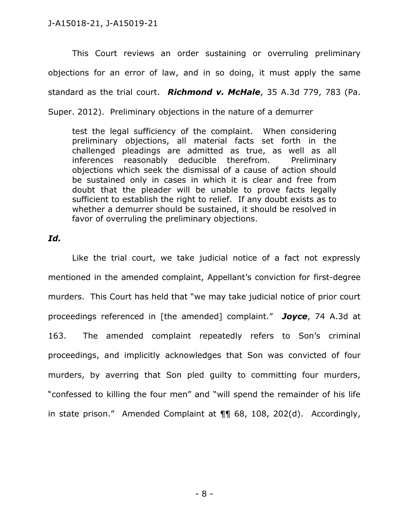This Court reviews an order sustaining or overruling preliminary objections for an error of law, and in so doing, it must apply the same standard as the trial court. *Richmond v. McHale*, 35 A.3d 779, 783 (Pa. Super. 2012). Preliminary objections in the nature of a demurrer

test the legal sufficiency of the complaint. When considering preliminary objections, all material facts set forth in the challenged pleadings are admitted as true, as well as all inferences reasonably deducible therefrom. Preliminary objections which seek the dismissal of a cause of action should be sustained only in cases in which it is clear and free from doubt that the pleader will be unable to prove facts legally sufficient to establish the right to relief. If any doubt exists as to whether a demurrer should be sustained, it should be resolved in favor of overruling the preliminary objections.

## *Id.*

Like the trial court, we take judicial notice of a fact not expressly mentioned in the amended complaint, Appellant's conviction for first-degree murders. This Court has held that "we may take judicial notice of prior court proceedings referenced in [the amended] complaint." *Joyce*, 74 A.3d at 163. The amended complaint repeatedly refers to Son's criminal proceedings, and implicitly acknowledges that Son was convicted of four murders, by averring that Son pled guilty to committing four murders, "confessed to killing the four men" and "will spend the remainder of his life in state prison." Amended Complaint at ¶¶ 68, 108, 202(d). Accordingly,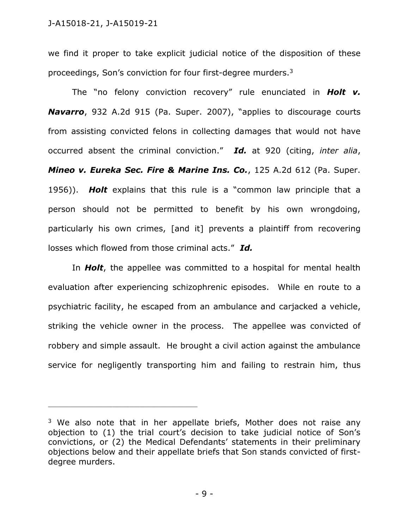we find it proper to take explicit judicial notice of the disposition of these proceedings, Son's conviction for four first-degree murders.<sup>3</sup>

The "no felony conviction recovery" rule enunciated in *Holt v. Navarro*, 932 A.2d 915 (Pa. Super. 2007), "applies to discourage courts from assisting convicted felons in collecting damages that would not have occurred absent the criminal conviction." *Id.* at 920 (citing, *inter alia*, *Mineo v. Eureka Sec. Fire & Marine Ins. Co.*, 125 A.2d 612 (Pa. Super. 1956)). *Holt* explains that this rule is a "common law principle that a person should not be permitted to benefit by his own wrongdoing, particularly his own crimes, [and it] prevents a plaintiff from recovering losses which flowed from those criminal acts." *Id.*

In *Holt*, the appellee was committed to a hospital for mental health evaluation after experiencing schizophrenic episodes. While en route to a psychiatric facility, he escaped from an ambulance and carjacked a vehicle, striking the vehicle owner in the process. The appellee was convicted of robbery and simple assault. He brought a civil action against the ambulance service for negligently transporting him and failing to restrain him, thus

 $3$  We also note that in her appellate briefs, Mother does not raise any objection to (1) the trial court's decision to take judicial notice of Son's convictions, or (2) the Medical Defendants' statements in their preliminary objections below and their appellate briefs that Son stands convicted of firstdegree murders.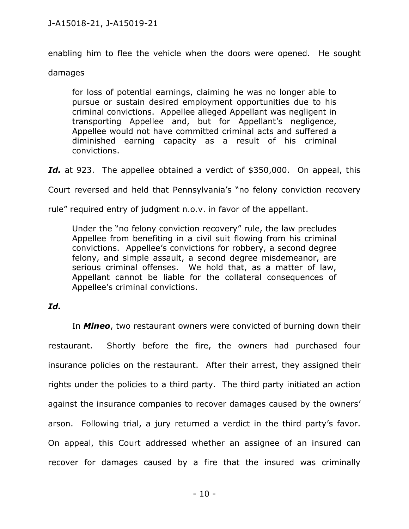enabling him to flee the vehicle when the doors were opened. He sought

# damages

for loss of potential earnings, claiming he was no longer able to pursue or sustain desired employment opportunities due to his criminal convictions. Appellee alleged Appellant was negligent in transporting Appellee and, but for Appellant's negligence, Appellee would not have committed criminal acts and suffered a diminished earning capacity as a result of his criminal convictions.

Id. at 923. The appellee obtained a verdict of \$350,000. On appeal, this

Court reversed and held that Pennsylvania's "no felony conviction recovery

rule" required entry of judgment n.o.v. in favor of the appellant.

Under the "no felony conviction recovery" rule, the law precludes Appellee from benefiting in a civil suit flowing from his criminal convictions. Appellee's convictions for robbery, a second degree felony, and simple assault, a second degree misdemeanor, are serious criminal offenses. We hold that, as a matter of law, Appellant cannot be liable for the collateral consequences of Appellee's criminal convictions.

# *Id.*

In *Mineo*, two restaurant owners were convicted of burning down their restaurant. Shortly before the fire, the owners had purchased four insurance policies on the restaurant. After their arrest, they assigned their rights under the policies to a third party. The third party initiated an action against the insurance companies to recover damages caused by the owners' arson. Following trial, a jury returned a verdict in the third party's favor. On appeal, this Court addressed whether an assignee of an insured can recover for damages caused by a fire that the insured was criminally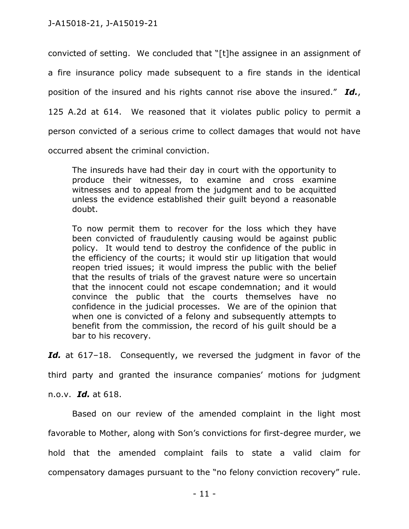convicted of setting. We concluded that "[t]he assignee in an assignment of a fire insurance policy made subsequent to a fire stands in the identical position of the insured and his rights cannot rise above the insured." *Id.*, 125 A.2d at 614. We reasoned that it violates public policy to permit a person convicted of a serious crime to collect damages that would not have occurred absent the criminal conviction.

The insureds have had their day in court with the opportunity to produce their witnesses, to examine and cross examine witnesses and to appeal from the judgment and to be acquitted unless the evidence established their guilt beyond a reasonable doubt.

To now permit them to recover for the loss which they have been convicted of fraudulently causing would be against public policy. It would tend to destroy the confidence of the public in the efficiency of the courts; it would stir up litigation that would reopen tried issues; it would impress the public with the belief that the results of trials of the gravest nature were so uncertain that the innocent could not escape condemnation; and it would convince the public that the courts themselves have no confidence in the judicial processes. We are of the opinion that when one is convicted of a felony and subsequently attempts to benefit from the commission, the record of his guilt should be a bar to his recovery.

Id. at 617–18. Consequently, we reversed the judgment in favor of the

third party and granted the insurance companies' motions for judgment

n.o.v. *Id.* at 618.

Based on our review of the amended complaint in the light most favorable to Mother, along with Son's convictions for first-degree murder, we hold that the amended complaint fails to state a valid claim for compensatory damages pursuant to the "no felony conviction recovery" rule.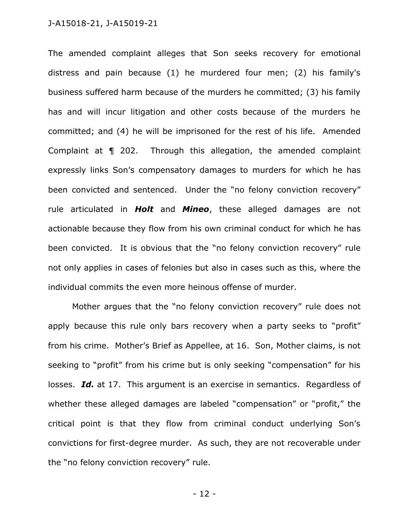The amended complaint alleges that Son seeks recovery for emotional distress and pain because (1) he murdered four men; (2) his family's business suffered harm because of the murders he committed; (3) his family has and will incur litigation and other costs because of the murders he committed; and (4) he will be imprisoned for the rest of his life. Amended Complaint at ¶ 202. Through this allegation, the amended complaint expressly links Son's compensatory damages to murders for which he has been convicted and sentenced. Under the "no felony conviction recovery" rule articulated in *Holt* and *Mineo*, these alleged damages are not actionable because they flow from his own criminal conduct for which he has been convicted. It is obvious that the "no felony conviction recovery" rule not only applies in cases of felonies but also in cases such as this, where the individual commits the even more heinous offense of murder.

Mother argues that the "no felony conviction recovery" rule does not apply because this rule only bars recovery when a party seeks to "profit" from his crime. Mother's Brief as Appellee, at 16. Son, Mother claims, is not seeking to "profit" from his crime but is only seeking "compensation" for his losses. *Id.* at 17. This argument is an exercise in semantics. Regardless of whether these alleged damages are labeled "compensation" or "profit," the critical point is that they flow from criminal conduct underlying Son's convictions for first-degree murder. As such, they are not recoverable under the "no felony conviction recovery" rule.

- 12 -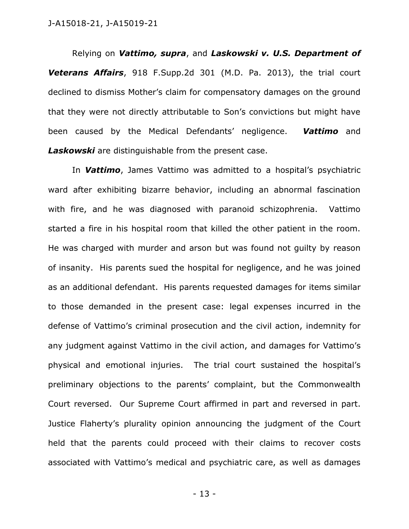Relying on *Vattimo, supra*, and *Laskowski v. U.S. Department of Veterans Affairs*, 918 F.Supp.2d 301 (M.D. Pa. 2013), the trial court declined to dismiss Mother's claim for compensatory damages on the ground that they were not directly attributable to Son's convictions but might have been caused by the Medical Defendants' negligence. *Vattimo* and Laskowski are distinguishable from the present case.

In *Vattimo*, James Vattimo was admitted to a hospital's psychiatric ward after exhibiting bizarre behavior, including an abnormal fascination with fire, and he was diagnosed with paranoid schizophrenia. Vattimo started a fire in his hospital room that killed the other patient in the room. He was charged with murder and arson but was found not guilty by reason of insanity. His parents sued the hospital for negligence, and he was joined as an additional defendant. His parents requested damages for items similar to those demanded in the present case: legal expenses incurred in the defense of Vattimo's criminal prosecution and the civil action, indemnity for any judgment against Vattimo in the civil action, and damages for Vattimo's physical and emotional injuries. The trial court sustained the hospital's preliminary objections to the parents' complaint, but the Commonwealth Court reversed. Our Supreme Court affirmed in part and reversed in part. Justice Flaherty's plurality opinion announcing the judgment of the Court held that the parents could proceed with their claims to recover costs associated with Vattimo's medical and psychiatric care, as well as damages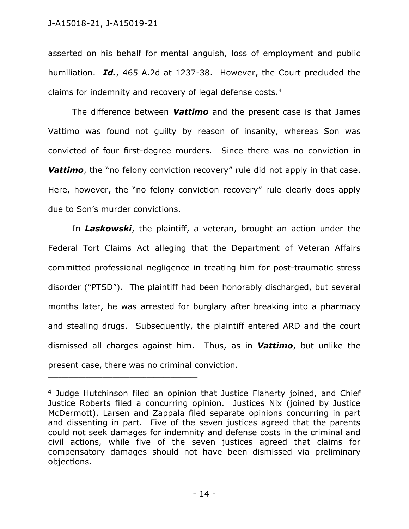\_\_\_\_\_\_\_\_\_\_\_\_\_\_\_\_\_\_\_\_\_\_\_\_\_\_\_\_\_\_\_\_\_\_\_\_\_\_\_\_\_\_\_\_

asserted on his behalf for mental anguish, loss of employment and public humiliation. *Id.*, 465 A.2d at 1237-38. However, the Court precluded the claims for indemnity and recovery of legal defense costs. 4

The difference between *Vattimo* and the present case is that James Vattimo was found not guilty by reason of insanity, whereas Son was convicted of four first-degree murders. Since there was no conviction in **Vattimo**, the "no felony conviction recovery" rule did not apply in that case. Here, however, the "no felony conviction recovery" rule clearly does apply due to Son's murder convictions.

In *Laskowski*, the plaintiff, a veteran, brought an action under the Federal Tort Claims Act alleging that the Department of Veteran Affairs committed professional negligence in treating him for post-traumatic stress disorder ("PTSD"). The plaintiff had been honorably discharged, but several months later, he was arrested for burglary after breaking into a pharmacy and stealing drugs. Subsequently, the plaintiff entered ARD and the court dismissed all charges against him. Thus, as in *Vattimo*, but unlike the present case, there was no criminal conviction.

<sup>&</sup>lt;sup>4</sup> Judge Hutchinson filed an opinion that Justice Flaherty joined, and Chief Justice Roberts filed a concurring opinion. Justices Nix (joined by Justice McDermott), Larsen and Zappala filed separate opinions concurring in part and dissenting in part. Five of the seven justices agreed that the parents could not seek damages for indemnity and defense costs in the criminal and civil actions, while five of the seven justices agreed that claims for compensatory damages should not have been dismissed via preliminary objections.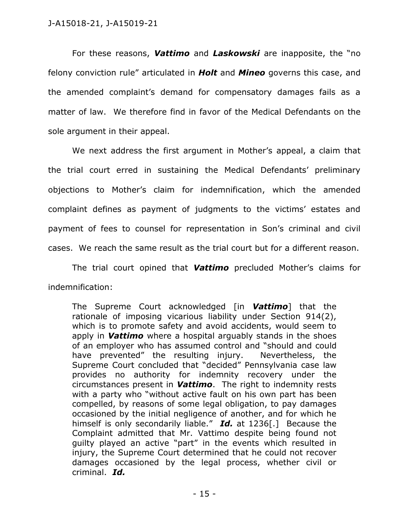For these reasons, *Vattimo* and *Laskowski* are inapposite, the "no felony conviction rule" articulated in *Holt* and *Mineo* governs this case, and the amended complaint's demand for compensatory damages fails as a matter of law. We therefore find in favor of the Medical Defendants on the sole argument in their appeal.

We next address the first argument in Mother's appeal, a claim that the trial court erred in sustaining the Medical Defendants' preliminary objections to Mother's claim for indemnification, which the amended complaint defines as payment of judgments to the victims' estates and payment of fees to counsel for representation in Son's criminal and civil cases. We reach the same result as the trial court but for a different reason.

The trial court opined that *Vattimo* precluded Mother's claims for indemnification:

The Supreme Court acknowledged [in *Vattimo*] that the rationale of imposing vicarious liability under Section 914(2), which is to promote safety and avoid accidents, would seem to apply in *Vattimo* where a hospital arguably stands in the shoes of an employer who has assumed control and "should and could have prevented" the resulting injury. Nevertheless, the Supreme Court concluded that "decided" Pennsylvania case law provides no authority for indemnity recovery under the circumstances present in *Vattimo*. The right to indemnity rests with a party who "without active fault on his own part has been compelled, by reasons of some legal obligation, to pay damages occasioned by the initial negligence of another, and for which he himself is only secondarily liable." *Id.* at 1236[.] Because the Complaint admitted that Mr. Vattimo despite being found not guilty played an active "part" in the events which resulted in injury, the Supreme Court determined that he could not recover damages occasioned by the legal process, whether civil or criminal. *Id.*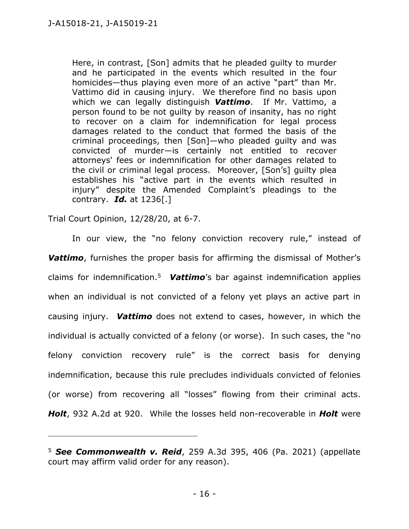Here, in contrast, [Son] admits that he pleaded guilty to murder and he participated in the events which resulted in the four homicides—thus playing even more of an active "part" than Mr. Vattimo did in causing injury. We therefore find no basis upon which we can legally distinguish *Vattimo*. If Mr. Vattimo, a person found to be not guilty by reason of insanity, has no right to recover on a claim for indemnification for legal process damages related to the conduct that formed the basis of the criminal proceedings, then [Son]—who pleaded guilty and was convicted of murder—is certainly not entitled to recover attorneys' fees or indemnification for other damages related to the civil or criminal legal process. Moreover, [Son's] guilty plea establishes his "active part in the events which resulted in injury" despite the Amended Complaint's pleadings to the contrary. *Id.* at 1236[.]

Trial Court Opinion, 12/28/20, at 6-7.

\_\_\_\_\_\_\_\_\_\_\_\_\_\_\_\_\_\_\_\_\_\_\_\_\_\_\_\_\_\_\_\_\_\_\_\_\_\_\_\_\_\_\_\_

In our view, the "no felony conviction recovery rule," instead of *Vattimo*, furnishes the proper basis for affirming the dismissal of Mother's claims for indemnification.<sup>5</sup> *Vattimo*'s bar against indemnification applies when an individual is not convicted of a felony yet plays an active part in causing injury. *Vattimo* does not extend to cases, however, in which the individual is actually convicted of a felony (or worse). In such cases, the "no felony conviction recovery rule" is the correct basis for denying indemnification, because this rule precludes individuals convicted of felonies (or worse) from recovering all "losses" flowing from their criminal acts. *Holt*, 932 A.2d at 920. While the losses held non-recoverable in *Holt* were

<sup>5</sup> *See Commonwealth v. Reid*, 259 A.3d 395, 406 (Pa. 2021) (appellate court may affirm valid order for any reason).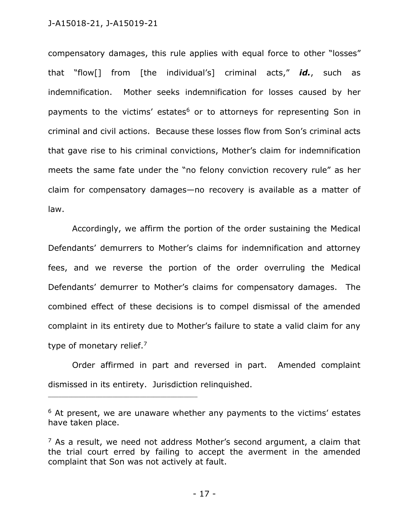compensatory damages, this rule applies with equal force to other "losses" that "flow[] from [the individual's] criminal acts," *id.*, such as indemnification. Mother seeks indemnification for losses caused by her payments to the victims' estates<sup>6</sup> or to attorneys for representing Son in criminal and civil actions. Because these losses flow from Son's criminal acts that gave rise to his criminal convictions, Mother's claim for indemnification meets the same fate under the "no felony conviction recovery rule" as her claim for compensatory damages—no recovery is available as a matter of law.

Accordingly, we affirm the portion of the order sustaining the Medical Defendants' demurrers to Mother's claims for indemnification and attorney fees, and we reverse the portion of the order overruling the Medical Defendants' demurrer to Mother's claims for compensatory damages. The combined effect of these decisions is to compel dismissal of the amended complaint in its entirety due to Mother's failure to state a valid claim for any type of monetary relief.<sup>7</sup>

Order affirmed in part and reversed in part. Amended complaint dismissed in its entirety. Jurisdiction relinquished.

<sup>&</sup>lt;sup>6</sup> At present, we are unaware whether any payments to the victims' estates have taken place.

 $<sup>7</sup>$  As a result, we need not address Mother's second argument, a claim that</sup> the trial court erred by failing to accept the averment in the amended complaint that Son was not actively at fault.